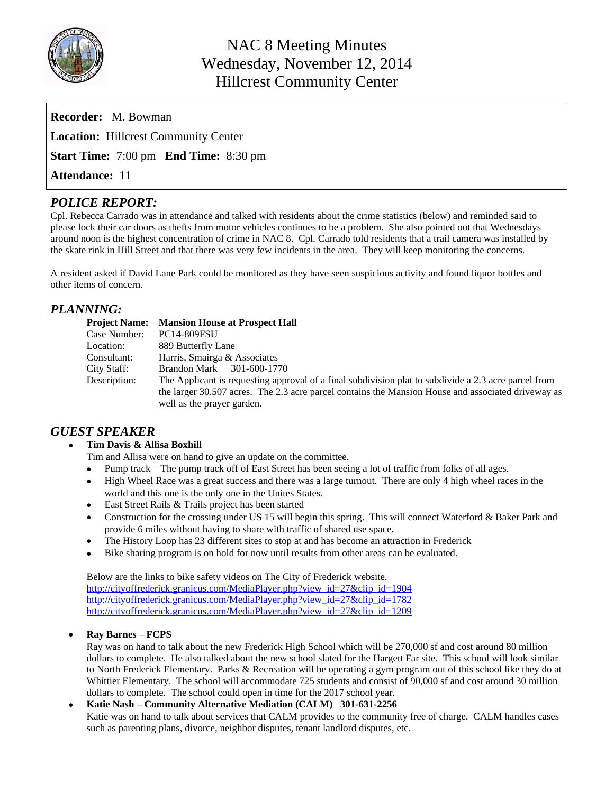

| <b>Recorder:</b> M. Bowman                          |
|-----------------------------------------------------|
| <b>Location:</b> Hillcrest Community Center         |
| <b>Start Time:</b> 7:00 pm <b>End Time:</b> 8:30 pm |
| <b>Attendance: 11</b>                               |

# *POLICE REPORT:*

Cpl. Rebecca Carrado was in attendance and talked with residents about the crime statistics (below) and reminded said to please lock their car doors as thefts from motor vehicles continues to be a problem. She also pointed out that Wednesdays around noon is the highest concentration of crime in NAC 8. Cpl. Carrado told residents that a trail camera was installed by the skate rink in Hill Street and that there was very few incidents in the area. They will keep monitoring the concerns.

A resident asked if David Lane Park could be monitored as they have seen suspicious activity and found liquor bottles and other items of concern.

# *PLANNING:*

| <b>Project Name:</b> | <b>Mansion House at Prospect Hall</b>                                                                |
|----------------------|------------------------------------------------------------------------------------------------------|
| Case Number:         | <b>PC14-809FSU</b>                                                                                   |
| Location:            | 889 Butterfly Lane                                                                                   |
| Consultant:          | Harris, Smairga & Associates                                                                         |
| City Staff:          | Brandon Mark<br>301-600-1770                                                                         |
| Description:         | The Applicant is requesting approval of a final subdivision plat to subdivide a 2.3 acre parcel from |
|                      | the larger 30.507 acres. The 2.3 acre parcel contains the Mansion House and associated driveway as   |
|                      | well as the prayer garden.                                                                           |

### *GUEST SPEAKER*

#### **Tim Davis & Allisa Boxhill**

- Tim and Allisa were on hand to give an update on the committee.
- Pump track The pump track off of East Street has been seeing a lot of traffic from folks of all ages.
- High Wheel Race was a great success and there was a large turnout. There are only 4 high wheel races in the world and this one is the only one in the Unites States.
- East Street Rails & Trails project has been started
- Construction for the crossing under US 15 will begin this spring. This will connect Waterford & Baker Park and provide 6 miles without having to share with traffic of shared use space.
- The History Loop has 23 different sites to stop at and has become an attraction in Frederick
- Bike sharing program is on hold for now until results from other areas can be evaluated.

Below are the links to bike safety videos on The City of Frederick website. [http://cityoffrederick.granicus.com/MediaPlayer.php?view\\_id=27&clip\\_id=1904](http://cityoffrederick.granicus.com/MediaPlayer.php?view_id=27&clip_id=1904) [http://cityoffrederick.granicus.com/MediaPlayer.php?view\\_id=27&clip\\_id=1782](http://cityoffrederick.granicus.com/MediaPlayer.php?view_id=27&clip_id=1782) [http://cityoffrederick.granicus.com/MediaPlayer.php?view\\_id=27&clip\\_id=1209](http://cityoffrederick.granicus.com/MediaPlayer.php?view_id=27&clip_id=1209)

### **Ray Barnes – FCPS**

Ray was on hand to talk about the new Frederick High School which will be 270,000 sf and cost around 80 million dollars to complete. He also talked about the new school slated for the Hargett Far site. This school will look similar to North Frederick Elementary. Parks & Recreation will be operating a gym program out of this school like they do at Whittier Elementary. The school will accommodate 725 students and consist of 90,000 sf and cost around 30 million dollars to complete. The school could open in time for the 2017 school year.

#### **Katie Nash – Community Alternative Mediation (CALM) 301-631-2256**

Katie was on hand to talk about services that CALM provides to the community free of charge. CALM handles cases such as parenting plans, divorce, neighbor disputes, tenant landlord disputes, etc.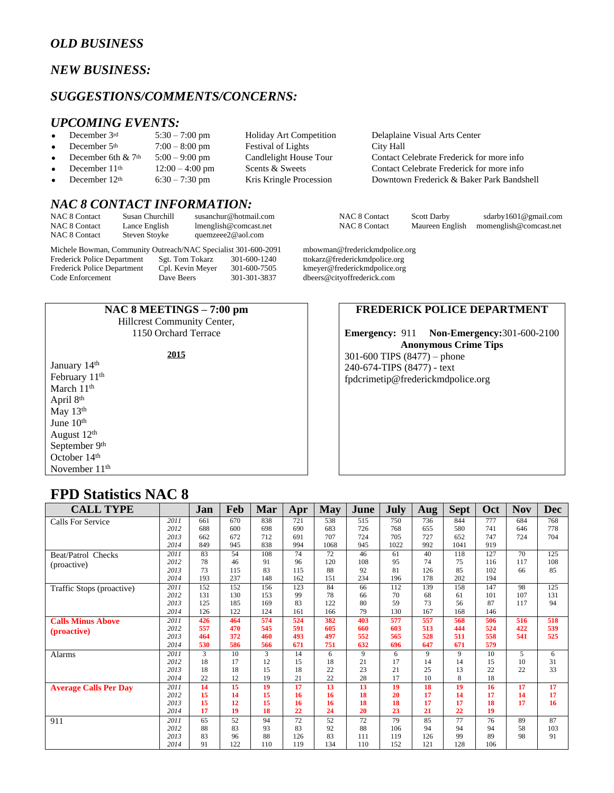# *OLD BUSINESS*

### *NEW BUSINESS:*

#### *SUGGESTIONS/COMMENTS/CONCERNS:*

# *UPCOMING EVENTS:*<br>• December 3rd 5:30 – 7:00 pm

- 
- December 5<sup>th</sup> 7:00 8:00 pm Festival of Lights City Hall
- -
- 

### *NAC 8 CONTACT INFORMATION:*

| <b>NAC 8 Contact</b> | Susan Churchill | susanchur@hotmail.com |
|----------------------|-----------------|-----------------------|
| <b>NAC 8 Contact</b> | Lance English   | lmenglish@comcast.net |
| <b>NAC 8 Contact</b> | Steven Stoyke   | quemzeee2@aol.com     |

Michele Bowman, Community Outreach/NAC Specialist 301-600-2091 mbowman@frederickmdpolice.org<br>Frederick Police Department Sgt. Tom Tokarz 301-600-1240 ttokarz@frederickmdpolice.org Frederick Police Department Sgt. Tom Tokarz 301-600-1240 ttokarz@frederickmdpolice.org<br>Frederick Police Department Cpl. Kevin Meyer 301-600-7505 kmeyer@frederickmdpolice.org Frederick Police Department Cpl. Kevin Meyer 301-600-7505 kmeyer@frederickmdpolice.org<br>Code Enforcement Dave Beers 301-301-3837 dbeers@cityoffrederick.com

#### **NAC 8 MEETINGS – 7:00 pm**

Hillcrest Community Center, 1150 Orchard Terrace

January 14<sup>th</sup> February 11<sup>th</sup> March 11<sup>th</sup> April 8th May 13<sup>th</sup> June 10<sup>th</sup> August 12th September 9<sup>th</sup> October 14<sup>th</sup> November 11<sup>th</sup>

Holiday Art Competition Delaplaine Visual Arts Center December 6th &  $7<sup>th</sup>$  5:00 – 9:00 pm Candlelight House Tour Contact Celebrate Frederick for more info December 11<sup>th</sup> 12:00 – 4:00 pm Scents & Sweets Contact Celebrate Frederick for more info December 12<sup>th</sup> 6:30 – 7:30 pm Kris Kringle Procession Downtown Frederick & Baker Park Bandshell

n 1990 NAC 8 Contact Scott Darby sdarby 1601@gmail.com<br>1991 NAC 8 Contact Maureen English momenglish@comcast.net Maureen English [momenglish@comcast.net](mailto:momenglish@comcast.net)

dbeers@cityoffrederick.com

#### **FREDERICK POLICE DEPARTMENT**

**Emergency:** 911 **Non-Emergency:**301-600-2100 **Anonymous Crime Tips** 301-600 TIPS (8477) – phone 240-674-TIPS (8477) - text [fpdcrimetip@frederickmdpolice.org](mailto:fpdcrimetip@frederickmdpolice.org)

# **FPD Statistics NAC 8**

| <b>CALL TYPE</b>             |      | Jan | Feb | Mar | Apr | May  | June | July | Aug | <b>Sept</b>  | Oct | <b>Nov</b> | <b>Dec</b>      |
|------------------------------|------|-----|-----|-----|-----|------|------|------|-----|--------------|-----|------------|-----------------|
| Calls For Service            | 2011 | 661 | 670 | 838 | 721 | 538  | 515  | 750  | 736 | 844          | 777 | 684        | 768             |
|                              | 2012 | 688 | 600 | 698 | 690 | 683  | 726  | 768  | 655 | 580          | 741 | 646        | 778             |
|                              | 2013 | 662 | 672 | 712 | 691 | 707  | 724  | 705  | 727 | 652          | 747 | 724        | 704             |
|                              | 2014 | 849 | 945 | 838 | 994 | 1068 | 945  | 1022 | 992 | 1041         | 919 |            |                 |
| Beat/Patrol Checks           | 2011 | 83  | 54  | 108 | 74  | 72   | 46   | 61   | 40  | 118          | 127 | 70         | 125             |
| (proactive)                  | 2012 | 78  | 46  | 91  | 96  | 120  | 108  | 95   | 74  | 75           | 116 | 117        | 108             |
|                              | 2013 | 73  | 115 | 83  | 115 | 88   | 92   | 81   | 126 | 85           | 102 | 66         | 85              |
|                              | 2014 | 193 | 237 | 148 | 162 | 151  | 234  | 196  | 178 | 202          | 194 |            |                 |
| Traffic Stops (proactive)    | 2011 | 152 | 152 | 156 | 123 | 84   | 66   | 112  | 139 | 158          | 147 | 98         | 125             |
|                              | 2012 | 131 | 130 | 153 | 99  | 78   | 66   | 70   | 68  | 61           | 101 | 107        | 131             |
|                              | 2013 | 125 | 185 | 169 | 83  | 122  | 80   | 59   | 73  | 56           | 87  | 117        | 94              |
|                              | 2014 | 126 | 122 | 124 | 161 | 166  | 79   | 130  | 167 | 168          | 146 |            |                 |
| <b>Calls Minus Above</b>     | 2011 | 426 | 464 | 574 | 524 | 382  | 403  | 577  | 557 | 568          | 506 | 516        | 518             |
| (proactive)                  | 2012 | 557 | 470 | 545 | 591 | 605  | 660  | 603  | 513 | 444          | 524 | 422        | 539             |
|                              | 2013 | 464 | 372 | 460 | 493 | 497  | 552  | 565  | 528 | 511          | 558 | 541        | 525             |
|                              | 2014 | 530 | 586 | 566 | 671 | 751  | 632  | 696  | 647 | 671          | 579 |            |                 |
| <b>Alarms</b>                | 2011 | 3   | 10  | 3   | 14  | 6    | 9    | 6    | 9   | 9            | 10  | 5          | 6               |
|                              | 2012 | 18  | 17  | 12  | 15  | 18   | 21   | 17   | 14  | 14           | 15  | 10         | 31              |
|                              | 2013 | 18  | 18  | 15  | 18  | 22   | 23   | 21   | 25  | 13           | 22  | 22         | 33              |
|                              | 2014 | 22  | 12  | 19  | 21  | 22   | 28   | 17   | 10  | $\mathbf{8}$ | 18  |            |                 |
| <b>Average Calls Per Day</b> | 2011 | 14  | 15  | 19  | 17  | 13   | 13   | 19   | 18  | 19           | 16  | 17         | $\overline{17}$ |
|                              | 2012 | 15  | 14  | 15  | 16  | 16   | 18   | 20   | 17  | 14           | 17  | 14         | 17              |
|                              | 2013 | 15  | 12  | 15  | 16  | 16   | 18   | 18   | 17  | 17           | 18  | 17         | 16              |
|                              | 2014 | 17  | 19  | 18  | 22  | 24   | 20   | 23   | 21  | 22           | 19  |            |                 |
| 911                          | 2011 | 65  | 52  | 94  | 72  | 52   | 72   | 79   | 85  | 77           | 76  | 89         | 87              |
|                              | 2012 | 88  | 83  | 93  | 83  | 92   | 88   | 106  | 94  | 94           | 94  | 58         | 103             |
|                              | 2013 | 83  | 96  | 88  | 126 | 83   | 111  | 119  | 126 | 99           | 89  | 98         | 91              |
|                              | 2014 | 91  | 122 | 110 | 119 | 134  | 110  | 152  | 121 | 128          | 106 |            |                 |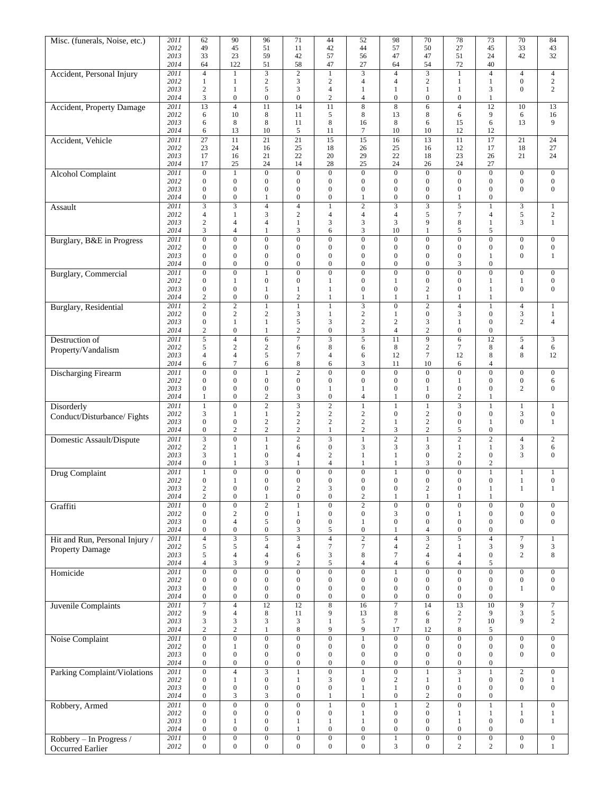| Misc. (funerals, Noise, etc.)       | 2011         | 62                                          | 90                                          | 96                                         | 71                                   | 44                                   | 52                                   | 98                                   | 70                                          | 78                                   | 73                                   | 70                                   | 84                                   |
|-------------------------------------|--------------|---------------------------------------------|---------------------------------------------|--------------------------------------------|--------------------------------------|--------------------------------------|--------------------------------------|--------------------------------------|---------------------------------------------|--------------------------------------|--------------------------------------|--------------------------------------|--------------------------------------|
|                                     | 2012<br>2013 | 49                                          | 45                                          | 51                                         | 11<br>42                             | 42                                   | 44                                   | 57<br>47                             | 50<br>47                                    | 27<br>51                             | 45<br>24                             | 33<br>42                             | 43<br>32                             |
|                                     | 2014         | 33<br>64                                    | 23<br>122                                   | 59<br>51                                   | 58                                   | 57<br>47                             | 56<br>27                             | 64                                   | 54                                          | 72                                   | 40                                   |                                      |                                      |
| Accident, Personal Injury           | 2011         | $\overline{4}$                              | 1                                           | $\overline{3}$                             | $\overline{2}$                       | $\mathbf{1}$                         | $\overline{\mathbf{3}}$              | $\overline{4}$                       | $\overline{\mathbf{3}}$                     | $\mathbf{1}$                         | $\overline{4}$                       | $\overline{4}$                       | $\overline{4}$                       |
|                                     | 2012         | $\mathbf{1}$                                | 1                                           | $\sqrt{2}$                                 | 3                                    | $\sqrt{2}$                           | $\overline{4}$                       | 4                                    | $\sqrt{2}$                                  | 1                                    | $\mathbf{1}$                         | $\boldsymbol{0}$                     | $\sqrt{2}$                           |
|                                     | 2013<br>2014 | $\overline{2}$<br>3                         | $\mathbf{1}$<br>$\boldsymbol{0}$            | 5<br>$\boldsymbol{0}$                      | 3<br>$\boldsymbol{0}$                | $\overline{4}$<br>$\mathbf{2}$       | 1<br>$\overline{4}$                  | $\mathbf{1}$<br>$\overline{0}$       | $\mathbf{1}$<br>$\boldsymbol{0}$            | $\mathbf{1}$<br>$\boldsymbol{0}$     | 3<br>$\mathbf{1}$                    | $\mathbf{0}$                         | $\overline{c}$                       |
| <b>Accident, Property Damage</b>    | 2011         | $\overline{13}$                             | $\overline{4}$                              | $\overline{11}$                            | 14                                   | 11                                   | $\overline{8}$                       | 8                                    | 6                                           | $\overline{4}$                       | $\overline{12}$                      | 10                                   | 13                                   |
|                                     | 2012         | 6                                           | 10                                          | 8                                          | 11                                   | 5                                    | 8                                    | 13                                   | 8                                           | 6                                    | 9                                    | 6                                    | 16                                   |
|                                     | 2013<br>2014 | 6<br>6                                      | 8<br>13                                     | 8<br>10                                    | 11<br>5                              | 8<br>11                              | 16<br>7                              | 8<br>10                              | 6<br>10                                     | 15<br>12                             | 6<br>12                              | 13                                   | 9                                    |
| Accident, Vehicle                   | 2011         | 27                                          | 11                                          | 21                                         | 21                                   | 15                                   | 15                                   | 16                                   | 13                                          | 11                                   | 17                                   | 21                                   | 24                                   |
|                                     | 2012         | 23                                          | 24                                          | 16                                         | 25                                   | 18                                   | 26                                   | 25                                   | 16                                          | 12                                   | 17                                   | 18                                   | 27                                   |
|                                     | 2013<br>2014 | 17<br>17                                    | 16<br>25                                    | 21<br>24                                   | 22<br>14                             | 20<br>28                             | 29<br>25                             | 22<br>24                             | 18<br>26                                    | 23<br>24                             | 26<br>27                             | 21                                   | 24                                   |
| <b>Alcohol Complaint</b>            | 2011         | $\overline{0}$                              | $\mathbf{1}$                                | $\overline{0}$                             | $\overline{0}$                       | $\overline{0}$                       | $\overline{0}$                       | $\overline{0}$                       | $\overline{0}$                              | $\overline{0}$                       | $\overline{0}$                       | $\boldsymbol{0}$                     | $\boldsymbol{0}$                     |
|                                     | 2012         | $\boldsymbol{0}$                            | $\boldsymbol{0}$                            | $\boldsymbol{0}$                           | $\boldsymbol{0}$                     | $\boldsymbol{0}$                     | $\mathbf{0}$                         | $\overline{0}$                       | $\mathbf{0}$                                | $\boldsymbol{0}$                     | $\boldsymbol{0}$                     | $\boldsymbol{0}$                     | $\boldsymbol{0}$                     |
|                                     | 2013         | $\mathbf{0}$                                | $\overline{0}$                              | $\boldsymbol{0}$                           | $\overline{0}$                       | $\boldsymbol{0}$                     | $\boldsymbol{0}$                     | $\overline{0}$                       | $\boldsymbol{0}$                            | $\boldsymbol{0}$                     | $\boldsymbol{0}$                     | $\mathbf{0}$                         | $\boldsymbol{0}$                     |
|                                     | 2014<br>2011 | $\boldsymbol{0}$<br>$\overline{\mathbf{3}}$ | $\boldsymbol{0}$<br>$\overline{\mathbf{3}}$ | 1<br>$\overline{4}$                        | $\boldsymbol{0}$<br>$\overline{4}$   | $\boldsymbol{0}$<br>$\mathbf{1}$     | 1<br>$\overline{2}$                  | 0<br>$\overline{\mathbf{3}}$         | $\boldsymbol{0}$<br>$\overline{\mathbf{3}}$ | 1<br>$\overline{5}$                  | $\boldsymbol{0}$<br>$\mathbf{1}$     | 3                                    | $\mathbf{1}$                         |
| Assault                             | 2012         | $\overline{4}$                              | $\mathbf{1}$                                | 3                                          | $\mathbf{2}$                         | $\overline{4}$                       | $\overline{4}$                       | $\overline{4}$                       | 5                                           | $\overline{7}$                       | $\overline{\mathbf{4}}$              | 5                                    | $\overline{c}$                       |
|                                     | 2013         | $\sqrt{2}$                                  | 4                                           | $\overline{4}$                             | $\mathbf{1}$                         | 3                                    | 3                                    | 3                                    | 9                                           | 8                                    | $\mathbf{1}$                         | 3                                    | $\mathbf{1}$                         |
|                                     | 2014         | 3                                           | $\overline{4}$                              | $\mathbf{1}$                               | 3<br>$\overline{0}$                  | 6                                    | 3                                    | 10                                   | $\mathbf{1}$                                | 5                                    | 5                                    |                                      |                                      |
| Burglary, B&E in Progress           | 2011<br>2012 | $\boldsymbol{0}$<br>$\boldsymbol{0}$        | $\boldsymbol{0}$<br>$\overline{0}$          | $\boldsymbol{0}$<br>$\boldsymbol{0}$       | $\boldsymbol{0}$                     | $\boldsymbol{0}$<br>$\boldsymbol{0}$ | $\boldsymbol{0}$<br>$\mathbf{0}$     | $\boldsymbol{0}$<br>$\overline{0}$   | $\boldsymbol{0}$<br>$\overline{0}$          | $\boldsymbol{0}$<br>$\boldsymbol{0}$ | $\boldsymbol{0}$<br>$\boldsymbol{0}$ | $\boldsymbol{0}$<br>$\boldsymbol{0}$ | $\mathbf{0}$<br>$\boldsymbol{0}$     |
|                                     | 2013         | $\mathbf{0}$                                | $\mathbf{0}$                                | $\boldsymbol{0}$                           | $\overline{0}$                       | $\boldsymbol{0}$                     | $\mathbf{0}$                         | $\overline{0}$                       | $\mathbf{0}$                                | $\overline{0}$                       | 1                                    | $\mathbf{0}$                         | $\mathbf{1}$                         |
|                                     | 2014         | $\mathbf{0}$                                | $\mathbf{0}$                                | $\overline{0}$                             | $\overline{0}$                       | $\overline{0}$                       | $\mathbf{0}$                         | $\overline{0}$                       | $\mathbf{0}$                                | 3                                    | $\overline{0}$                       |                                      |                                      |
| <b>Burglary</b> , Commercial        | 2011<br>2012 | $\mathbf{0}$<br>$\boldsymbol{0}$            | $\overline{0}$<br>$\mathbf{1}$              | $\mathbf{1}$<br>$\boldsymbol{0}$           | $\overline{0}$<br>$\boldsymbol{0}$   | $\boldsymbol{0}$<br>$\mathbf{1}$     | $\mathbf{0}$<br>$\boldsymbol{0}$     | $\overline{0}$<br>1                  | $\mathbf{0}$<br>$\mathbf{0}$                | $\overline{0}$<br>$\boldsymbol{0}$   | $\overline{0}$<br>$\mathbf{1}$       | $\boldsymbol{0}$<br>1                | $\boldsymbol{0}$<br>$\boldsymbol{0}$ |
|                                     | 2013         | $\boldsymbol{0}$                            | $\boldsymbol{0}$                            | $\mathbf{1}$                               | 1                                    | $\mathbf{1}$                         | $\mathbf{0}$                         | $\overline{0}$                       | $\mathbf{2}$                                | $\mathbf{0}$                         | $\mathbf{1}$                         | $\mathbf{0}$                         | $\boldsymbol{0}$                     |
|                                     | 2014         | $\overline{c}$                              | $\mathbf{0}$                                | $\boldsymbol{0}$                           | $\overline{c}$                       | $\mathbf{1}$                         | $\mathbf{1}$                         | $\mathbf{1}$                         | $\mathbf{1}$                                | $\mathbf{1}$                         | $\mathbf{1}$                         |                                      |                                      |
| <b>Burglary</b> , Residential       | 2011         | $\sqrt{2}$                                  | $\sqrt{2}$                                  | $\mathbf{1}$                               | $\mathbf{1}$                         | $\mathbf{1}$                         | 3                                    | $\overline{0}$                       | $\sqrt{2}$                                  | $\overline{4}$                       | $\mathbf{1}$                         | $\overline{4}$                       | $\mathbf{1}$                         |
|                                     | 2012<br>2013 | $\boldsymbol{0}$<br>$\boldsymbol{0}$        | $\mathbf{2}$<br>$\mathbf{1}$                | $\overline{c}$<br>$\mathbf{1}$             | 3<br>5                               | 1<br>3                               | $\sqrt{2}$<br>$\sqrt{2}$             | 1<br>$\overline{c}$                  | $\mathbf{0}$<br>3                           | 3<br>$\mathbf{1}$                    | $\boldsymbol{0}$<br>$\boldsymbol{0}$ | 3<br>$\mathbf{2}$                    | 1<br>$\overline{4}$                  |
|                                     | 2014         | $\mathbf{2}$                                | $\overline{0}$                              | 1                                          | $\sqrt{2}$                           | $\boldsymbol{0}$                     | 3                                    | $\overline{4}$                       | $\mathbf{2}$                                | $\overline{0}$                       | $\overline{0}$                       |                                      |                                      |
| Destruction of                      | 2011         | $\overline{5}$                              | $\overline{4}$                              | 6                                          | $\overline{7}$                       | $\overline{3}$                       | $\overline{5}$                       | 11                                   | $\overline{9}$                              | $\overline{6}$                       | $\overline{12}$                      | 5                                    | $\overline{3}$                       |
| Property/Vandalism                  | 2012         | $\sqrt{5}$                                  | $\sqrt{2}$                                  | $\mathbf{2}$                               | 6                                    | $\,$ 8 $\,$                          | 6                                    | 8                                    | $\mathbf{2}$                                | 7                                    | $\,8\,$                              | $\overline{4}$                       | 6                                    |
|                                     | 2013<br>2014 | $\overline{4}$<br>6                         | $\overline{4}$<br>$\overline{7}$            | 5<br>6                                     | $\tau$<br>8                          | $\overline{4}$<br>6                  | 6<br>3                               | 12<br>11                             | $7\phantom{.0}$<br>10                       | 12<br>6                              | 8<br>4                               | 8                                    | 12                                   |
| <b>Discharging Firearm</b>          | 2011         | $\boldsymbol{0}$                            | $\overline{0}$                              | $\mathbf{1}$                               | $\overline{2}$                       | $\boldsymbol{0}$                     | $\boldsymbol{0}$                     | $\overline{0}$                       | $\mathbf{0}$                                | $\overline{0}$                       | $\boldsymbol{0}$                     | $\overline{0}$                       | $\boldsymbol{0}$                     |
|                                     | 2012         | $\boldsymbol{0}$                            | $\boldsymbol{0}$                            | $\boldsymbol{0}$                           | $\boldsymbol{0}$                     | $\boldsymbol{0}$                     | $\boldsymbol{0}$                     | $\boldsymbol{0}$                     | $\mathbf{0}$                                | 1                                    | $\boldsymbol{0}$                     | 0                                    | 6                                    |
|                                     | 2013<br>2014 | $\boldsymbol{0}$<br>1                       | $\boldsymbol{0}$<br>$\boldsymbol{0}$        | $\boldsymbol{0}$<br>$\overline{c}$         | $\boldsymbol{0}$<br>3                | $\mathbf{1}$<br>$\boldsymbol{0}$     | 1<br>4                               | $\overline{0}$<br>1                  | $\mathbf{1}$<br>$\boldsymbol{0}$            | $\boldsymbol{0}$<br>$\overline{c}$   | $\overline{0}$<br>1                  | $\overline{2}$                       | $\mathbf{0}$                         |
| Disorderly                          | 2011         | $\mathbf{1}$                                | $\overline{0}$                              | $\overline{2}$                             | $\overline{3}$                       | $\overline{2}$                       | $\mathbf{1}$                         | $\mathbf{1}$                         | $\overline{1}$                              | $\overline{\mathbf{3}}$              | $\mathbf{1}$                         | $\mathbf{1}$                         | $\mathbf{1}$                         |
| Conduct/Disturbance/Fights          | 2012         | 3                                           | $\mathbf{1}$                                | $\mathbf{1}$                               | $\sqrt{2}$                           | $\sqrt{2}$                           | 2                                    | 0                                    | $\sqrt{2}$                                  | $\boldsymbol{0}$                     | $\boldsymbol{0}$                     | 3                                    | $\boldsymbol{0}$                     |
|                                     | 2013         | $\boldsymbol{0}$                            | $\boldsymbol{0}$                            | $\sqrt{2}$                                 | $\sqrt{2}$<br>$\mathfrak 2$          | $\mathbf{2}$                         | $\sqrt{2}$                           | 1                                    | $\sqrt{2}$                                  | $\boldsymbol{0}$                     | $\mathbf{1}$                         | $\mathbf{0}$                         | $\mathbf{1}$                         |
| <b>Domestic Assault/Dispute</b>     | 2014<br>2011 | $\boldsymbol{0}$<br>$\overline{3}$          | $\sqrt{2}$<br>$\overline{0}$                | $\sqrt{2}$<br>$\mathbf{1}$                 | $\overline{c}$                       | $\mathbf{1}$<br>3                    | $\overline{c}$<br>$\mathbf{1}$       | 3<br>$\overline{c}$                  | $\sqrt{2}$<br>$\mathbf{1}$                  | 5<br>$\overline{c}$                  | $\boldsymbol{0}$<br>$\overline{2}$   | $\overline{4}$                       | $\overline{2}$                       |
|                                     | 2012         | $\overline{c}$                              | 1                                           | $\mathbf{1}$                               | 6                                    | $\mathbf{0}$                         | 3                                    | 3                                    | 3                                           | $\mathbf{1}$                         | $\mathbf{1}$                         | 3                                    | 6                                    |
|                                     | 2013         | 3                                           | 1                                           | $\boldsymbol{0}$                           | 4                                    | $\sqrt{2}$                           | 1                                    | 1                                    | $\mathbf{0}$                                | $\overline{c}$                       | $\boldsymbol{0}$                     | 3                                    | $\mathbf{0}$                         |
|                                     | 2014<br>2011 | $\boldsymbol{0}$<br>$\mathbf{1}$            | 1<br>$\boldsymbol{0}$                       | 3<br>$\overline{0}$                        | 1<br>$\boldsymbol{0}$                | $\overline{4}$<br>$\boldsymbol{0}$   | 1<br>$\boldsymbol{0}$                | 1                                    | 3<br>$\overline{0}$                         | $\boldsymbol{0}$<br>$\overline{0}$   | 2                                    |                                      |                                      |
| Drug Complaint                      | 2012         | $\mathbf{0}$                                | 1                                           | $\overline{0}$                             | $\overline{0}$                       | $\Omega$                             | $\theta$                             | 1<br>$\overline{0}$                  | $\overline{0}$                              | $\overline{0}$                       | $\mathbf{1}$<br>$\overline{0}$       | 1<br>$\mathbf{1}$                    | $\mathbf{1}$<br>$\mathbf{0}$         |
|                                     | 2013         | $\sqrt{2}$                                  | $\boldsymbol{0}$                            | $\boldsymbol{0}$                           | $\mathbf{2}$                         | 3                                    | $\boldsymbol{0}$                     | $\boldsymbol{0}$                     | $\sqrt{2}$                                  | $\boldsymbol{0}$                     | $\mathbf{1}$                         | $\mathbf{1}$                         | $\mathbf{1}$                         |
|                                     | 2014         | $\overline{c}$                              | $\boldsymbol{0}$                            | $\mathbf{1}$                               | $\boldsymbol{0}$                     | $\boldsymbol{0}$                     | $\mathbf{2}$                         | $\mathbf{1}$                         | $\mathbf{1}$                                | $\mathbf{1}$                         | $\mathbf{1}$                         |                                      |                                      |
| Graffiti                            | 2011<br>2012 | $\boldsymbol{0}$<br>$\boldsymbol{0}$        | $\boldsymbol{0}$<br>$\sqrt{2}$              | $\overline{c}$<br>$\boldsymbol{0}$         | $\mathbf{1}$<br>$\mathbf{1}$         | $\boldsymbol{0}$<br>$\boldsymbol{0}$ | $\overline{c}$<br>$\boldsymbol{0}$   | $\overline{0}$<br>3                  | $\overline{0}$<br>$\mathbf{0}$              | $\overline{0}$<br>$\mathbf{1}$       | $\overline{0}$<br>$\boldsymbol{0}$   | $\boldsymbol{0}$<br>$\boldsymbol{0}$ | $\boldsymbol{0}$<br>$\mathbf{0}$     |
|                                     | 2013         | $\boldsymbol{0}$                            | $\overline{4}$                              | 5                                          | $\mathbf{0}$                         | $\boldsymbol{0}$                     | 1                                    | $\boldsymbol{0}$                     | $\mathbf{0}$                                | $\boldsymbol{0}$                     | $\boldsymbol{0}$                     | $\boldsymbol{0}$                     | $\boldsymbol{0}$                     |
|                                     | 2014         | $\boldsymbol{0}$                            | $\boldsymbol{0}$                            | $\boldsymbol{0}$                           | 3                                    | 5                                    | $\boldsymbol{0}$                     | $\mathbf{1}$                         | $\overline{4}$                              | $\boldsymbol{0}$                     | $\boldsymbol{0}$                     |                                      |                                      |
| Hit and Run, Personal Injury /      | 2011<br>2012 | $\overline{4}$<br>$\sqrt{5}$                | $\overline{\overline{3}}$<br>5              | $\overline{5}$<br>$\overline{\mathcal{L}}$ | $\overline{4}$                       | $\overline{4}$<br>$\tau$             | $\overline{2}$<br>$\tau$             | 4<br>4                               | $\overline{3}$<br>$\sqrt{2}$                | $\overline{5}$<br>$\mathbf{1}$       | $\overline{4}$<br>3                  | $\tau$<br>9                          | $\mathbf{1}$<br>3                    |
| Property Damage                     | 2013         | $\sqrt{5}$                                  | $\overline{4}$                              | 4                                          | 6                                    | 3                                    | 8                                    | 7                                    | $\overline{4}$                              | $\overline{4}$                       | $\boldsymbol{0}$                     | $\mathbf{2}$                         | 8                                    |
|                                     | 2014         | $\overline{4}$                              | 3                                           | 9                                          | $\sqrt{2}$                           | 5                                    | $\overline{4}$                       | 4                                    | 6                                           | $\overline{4}$                       | 5                                    |                                      |                                      |
| Homicide                            | 2011         | $\overline{0}$                              | $\overline{0}$                              | $\overline{0}$                             | $\overline{0}$                       | $\overline{0}$                       | $\boldsymbol{0}$                     | 1                                    | $\mathbf{0}$                                | $\overline{0}$                       | $\overline{0}$                       | $\boldsymbol{0}$                     | $\boldsymbol{0}$                     |
|                                     | 2012<br>2013 | $\boldsymbol{0}$<br>$\boldsymbol{0}$        | $\boldsymbol{0}$<br>$\boldsymbol{0}$        | $\boldsymbol{0}$<br>$\boldsymbol{0}$       | $\boldsymbol{0}$<br>$\boldsymbol{0}$ | $\boldsymbol{0}$<br>$\boldsymbol{0}$ | $\boldsymbol{0}$<br>$\boldsymbol{0}$ | $\boldsymbol{0}$<br>$\boldsymbol{0}$ | $\boldsymbol{0}$<br>$\boldsymbol{0}$        | $\boldsymbol{0}$<br>$\boldsymbol{0}$ | $\boldsymbol{0}$<br>$\boldsymbol{0}$ | $\boldsymbol{0}$<br>$\mathbf{1}$     | $\boldsymbol{0}$<br>$\boldsymbol{0}$ |
|                                     | 2014         | $\boldsymbol{0}$                            | $\boldsymbol{0}$                            | $\boldsymbol{0}$                           | $\boldsymbol{0}$                     | $\boldsymbol{0}$                     | $\mathbf{0}$                         | $\boldsymbol{0}$                     | $\boldsymbol{0}$                            | $\boldsymbol{0}$                     | $\boldsymbol{0}$                     |                                      |                                      |
| Juvenile Complaints                 | 2011         | $\overline{7}$                              | $\overline{4}$                              | $\overline{12}$                            | $\overline{12}$                      | $\overline{\bf 8}$                   | 16                                   | 7                                    | $\overline{14}$                             | $\overline{13}$                      | $\overline{10}$                      | 9                                    | $\boldsymbol{7}$                     |
|                                     | 2012<br>2013 | 9                                           | $\overline{4}$                              | 8                                          | 11                                   | 9                                    | 13                                   | 8                                    | 6                                           | $\boldsymbol{2}$<br>$\overline{7}$   | 9                                    | $\mathfrak 3$                        | 5                                    |
|                                     | 2014         | $\mathfrak{Z}$<br>$\sqrt{2}$                | 3<br>$\mathbf{2}$                           | 3<br>$\mathbf{1}$                          | 3<br>$\,$ 8 $\,$                     | $\mathbf{1}$<br>9                    | 5<br>9                               | $\tau$<br>17                         | 8<br>12                                     | 8                                    | 10<br>5                              | 9                                    | $\overline{c}$                       |
| Noise Complaint                     | 2011         | $\overline{0}$                              | $\overline{0}$                              | $\overline{0}$                             | $\overline{0}$                       | $\overline{0}$                       | $\mathbf{1}$                         | $\overline{0}$                       | $\overline{0}$                              | $\overline{0}$                       | $\overline{0}$                       | $\boldsymbol{0}$                     | $\boldsymbol{0}$                     |
|                                     | 2012         | $\boldsymbol{0}$                            | 1                                           | $\boldsymbol{0}$                           | $\boldsymbol{0}$                     | $\boldsymbol{0}$                     | $\boldsymbol{0}$                     | $\boldsymbol{0}$                     | $\mathbf{0}$                                | $\boldsymbol{0}$                     | $\boldsymbol{0}$                     | $\boldsymbol{0}$                     | $\boldsymbol{0}$                     |
|                                     | 2013<br>2014 | $\boldsymbol{0}$<br>$\boldsymbol{0}$        | $\boldsymbol{0}$<br>$\boldsymbol{0}$        | $\boldsymbol{0}$<br>$\boldsymbol{0}$       | $\boldsymbol{0}$<br>$\boldsymbol{0}$ | $\boldsymbol{0}$<br>$\boldsymbol{0}$ | $\boldsymbol{0}$<br>$\boldsymbol{0}$ | $\boldsymbol{0}$<br>$\boldsymbol{0}$ | $\boldsymbol{0}$<br>$\boldsymbol{0}$        | $\boldsymbol{0}$<br>$\boldsymbol{0}$ | $\boldsymbol{0}$<br>$\boldsymbol{0}$ | $\mathbf{0}$                         | $\boldsymbol{0}$                     |
| <b>Parking Complaint/Violations</b> | 2011         | $\overline{0}$                              | $\overline{4}$                              | $\overline{3}$                             | $\mathbf{1}$                         | $\overline{0}$                       | $\mathbf{1}$                         | $\overline{0}$                       | $\mathbf{1}$                                | $\overline{3}$                       | $\,1$                                | $\sqrt{2}$                           | $\boldsymbol{0}$                     |
|                                     | 2012         | $\boldsymbol{0}$                            | $\mathbf{1}$                                | $\boldsymbol{0}$                           | $\mathbf{1}$                         | 3                                    | $\boldsymbol{0}$                     | $\boldsymbol{2}$                     | $\mathbf{1}$                                | $\mathbf{1}$                         | $\boldsymbol{0}$                     | $\boldsymbol{0}$                     | $\mathbf{1}$                         |
|                                     | 2013         | $\boldsymbol{0}$                            | $\boldsymbol{0}$                            | $\boldsymbol{0}$                           | $\boldsymbol{0}$                     | $\boldsymbol{0}$                     | $\mathbf{1}$                         | $\,1$                                | $\boldsymbol{0}$                            | $\boldsymbol{0}$                     | $\boldsymbol{0}$                     | $\boldsymbol{0}$                     | $\boldsymbol{0}$                     |
|                                     | 2014<br>2011 | $\boldsymbol{0}$<br>$\overline{0}$          | 3<br>$\overline{0}$                         | 3<br>$\overline{0}$                        | $\boldsymbol{0}$<br>$\overline{0}$   | $\mathbf{1}$<br>$\mathbf{1}$         | $\mathbf{1}$<br>$\boldsymbol{0}$     | $\boldsymbol{0}$<br>$\mathbf{1}$     | $\sqrt{2}$<br>$\overline{2}$                | $\boldsymbol{0}$<br>$\overline{0}$   | $\boldsymbol{0}$<br>$\mathbf{1}$     | $\mathbf{1}$                         | $\boldsymbol{0}$                     |
| Robbery, Armed                      | 2012         | $\boldsymbol{0}$                            | $\boldsymbol{0}$                            | $\boldsymbol{0}$                           | $\boldsymbol{0}$                     | $\boldsymbol{0}$                     | $\mathbf{1}$                         | $\boldsymbol{0}$                     | $\boldsymbol{0}$                            | $\mathbf{1}$                         | $\mathbf{1}$                         | $\mathbf{1}$                         | $\mathbf{1}$                         |
|                                     | 2013         | $\boldsymbol{0}$                            | $\mathbf{1}$                                | $\boldsymbol{0}$                           | 1                                    | $\mathbf{1}$                         | 1                                    | $\overline{0}$                       | $\boldsymbol{0}$                            | $\mathbf{1}$                         | $\mathbf{0}$                         | $\mathbf{0}$                         | $\mathbf{1}$                         |
|                                     | 2014         | $\boldsymbol{0}$                            | $\boldsymbol{0}$                            | $\boldsymbol{0}$                           | $\mathbf{1}$                         | $\boldsymbol{0}$                     | $\boldsymbol{0}$                     | $\boldsymbol{0}$                     | $\mathbf{0}$                                | $\boldsymbol{0}$                     | $\boldsymbol{0}$                     |                                      |                                      |
| Robbery - In Progress /             | 2011<br>2012 | $\boldsymbol{0}$<br>$\boldsymbol{0}$        | $\overline{0}$<br>$\boldsymbol{0}$          | $\overline{0}$<br>$\boldsymbol{0}$         | $\overline{0}$<br>$\boldsymbol{0}$   | $\overline{0}$<br>$\boldsymbol{0}$   | $\boldsymbol{0}$<br>$\boldsymbol{0}$ | $\mathbf{1}$<br>3                    | $\boldsymbol{0}$<br>$\boldsymbol{0}$        | $\overline{0}$<br>$\overline{c}$     | $\overline{0}$<br>$\overline{c}$     | $\boldsymbol{0}$<br>$\boldsymbol{0}$ | $\boldsymbol{0}$<br>$\mathbf{1}$     |
| Occurred Earlier                    |              |                                             |                                             |                                            |                                      |                                      |                                      |                                      |                                             |                                      |                                      |                                      |                                      |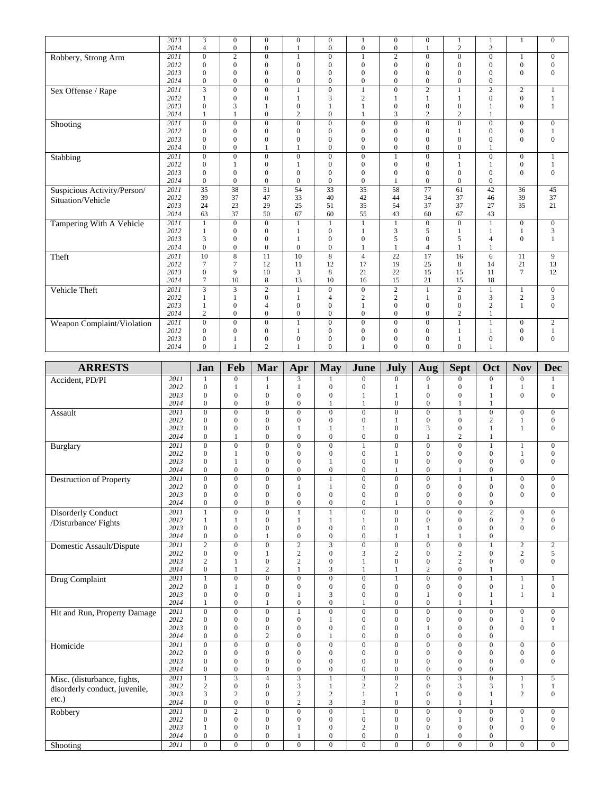|                             | 2013 | 3               | $\overline{0}$ | $\boldsymbol{0}$ | $\mathbf{0}$   | $\overline{0}$ | 1                | $\boldsymbol{0}$ | $\boldsymbol{0}$ |                | $\mathbf{1}$     |                | $\mathbf{0}$   |
|-----------------------------|------|-----------------|----------------|------------------|----------------|----------------|------------------|------------------|------------------|----------------|------------------|----------------|----------------|
|                             | 2014 | $\overline{4}$  | $\overline{0}$ | $\overline{0}$   |                | $\mathbf{0}$   | $\mathbf{0}$     | $\overline{0}$   |                  | $\overline{2}$ | $\overline{2}$   |                |                |
| Robbery, Strong Arm         | 2011 | $\Omega$        | $\mathfrak{2}$ | $\mathbf{0}$     | $\mathbf{1}$   | $\Omega$       | $\mathbf{1}$     | $\overline{c}$   | $\Omega$         | $\Omega$       | $\boldsymbol{0}$ |                | $\mathbf{0}$   |
|                             | 2012 | $\mathbf{0}$    | $\overline{0}$ | $\overline{0}$   | $\overline{0}$ | $\mathbf{0}$   | $\mathbf{0}$     | $\overline{0}$   | $\overline{0}$   | $\theta$       | $\mathbf{0}$     | $\overline{0}$ | $\mathbf{0}$   |
|                             | 2013 | $\Omega$        | $\Omega$       | $\overline{0}$   | $\theta$       | $\Omega$       | $\Omega$         | $\mathbf{0}$     | $\Omega$         | $\Omega$       | $\mathbf{0}$     | $\mathbf{0}$   | $\mathbf{0}$   |
|                             | 2014 | $\Omega$        | $\overline{0}$ | $\overline{0}$   | $\mathbf{0}$   | $\mathbf{0}$   | $\mathbf{0}$     | $\overline{0}$   | $\theta$         | $\overline{0}$ | $\overline{0}$   |                |                |
| Sex Offense / Rape          | 2011 | 3               | $\mathbf{0}$   | $\mathbf{0}$     | $\mathbf{1}$   | $\mathbf{0}$   | $\mathbf{1}$     | $\mathbf{0}$     | $\overline{2}$   | 1              | $\overline{c}$   | $\overline{c}$ | 1              |
|                             | 2012 | 1               | $\Omega$       | $\theta$         | 1              | 3              | $\mathbf{2}$     | $\mathbf{1}$     | 1                |                | $\Omega$         | $\overline{0}$ | 1              |
|                             | 2013 | $\mathbf{0}$    | 3              | $\mathbf{1}$     | $\theta$       | $\mathbf{1}$   |                  | $\mathbf{0}$     | $\mathbf{0}$     | $\theta$       |                  | $\mathbf{0}$   | 1              |
|                             | 2014 | $\mathbf{1}$    | $\mathbf{1}$   | $\overline{0}$   | $\overline{2}$ | $\mathbf{0}$   |                  | 3                | $\overline{c}$   | $\overline{2}$ | $\overline{1}$   |                |                |
| Shooting                    | 2011 | $\mathbf{0}$    | $\mathbf{0}$   | $\mathbf{0}$     | $\mathbf{0}$   | $\mathbf{0}$   | $\mathbf{0}$     | $\mathbf{0}$     | $\mathbf{0}$     | $\mathbf{0}$   | $\mathbf{0}$     | $\mathbf{0}$   | $\mathbf{0}$   |
|                             | 2012 | $\mathbf{0}$    | $\mathbf{0}$   | $\mathbf{0}$     | $\mathbf{0}$   | $\mathbf{0}$   | $\mathbf{0}$     | $\mathbf{0}$     | $\mathbf{0}$     | 1              | $\mathbf{0}$     | $\mathbf{0}$   | $\mathbf{1}$   |
|                             | 2013 | $\mathbf{0}$    | $\overline{0}$ | $\overline{0}$   | $\overline{0}$ | $\mathbf{0}$   | $\mathbf{0}$     | $\mathbf{0}$     | $\overline{0}$   | $\overline{0}$ | $\overline{0}$   | $\overline{0}$ | $\mathbf{0}$   |
|                             | 2014 | $\Omega$        | $\Omega$       | $\mathbf{1}$     | $\mathbf{1}$   | $\mathbf{0}$   | $\overline{0}$   | $\mathbf{0}$     | $\theta$         | $\overline{0}$ | $\mathbf{1}$     |                |                |
| Stabbing                    | 2011 | $\mathbf{0}$    | $\overline{0}$ | $\overline{0}$   | $\mathbf{0}$   | $\overline{0}$ | $\mathbf{0}$     |                  | $\mathbf{0}$     | $\mathbf{1}$   | $\mathbf{0}$     | $\overline{0}$ | 1              |
|                             | 2012 | $\mathbf{0}$    | $\mathbf{1}$   | $\mathbf{0}$     | $\mathbf{1}$   | $\mathbf{0}$   | $\mathbf{0}$     | $\mathbf{0}$     | $\mathbf{0}$     | $\mathbf{1}$   | $\mathbf{1}$     | $\mathbf{0}$   | $\mathbf{1}$   |
|                             | 2013 | $\Omega$        | $\mathbf{0}$   | $\mathbf{0}$     | $\mathbf{0}$   | $\overline{0}$ | $\mathbf{0}$     | $\mathbf{0}$     | $\mathbf{0}$     | $\Omega$       | $\mathbf{0}$     | $\mathbf{0}$   | $\mathbf{0}$   |
|                             | 2014 | $\Omega$        | $\Omega$       | $\overline{0}$   | $\mathbf{0}$   | $\mathbf{0}$   | $\mathbf{0}$     | $\mathbf{1}$     | $\mathbf{0}$     | $\Omega$       | $\mathbf{0}$     |                |                |
| Suspicious Activity/Person/ | 2011 | 35              | 38             | 51               | 54             | 33             | 35               | 58               | 77               | 61             | 42               | 36             | 45             |
| Situation/Vehicle           | 2012 | 39              | 37             | 47               | 33             | 40             | 42               | 44               | 34               | 37             | 46               | 39             | 37             |
|                             | 2013 | 24              | 23             | 29               | 25             | 51             | 35               | 54               | 37               | 37             | 27               | 35             | 21             |
|                             | 2014 | 63              | 37             | 50               | 67             | 60             | 55               | 43               | 60               | 67             | 43               |                |                |
| Tampering With A Vehicle    | 2011 | 1               | $\overline{0}$ | $\boldsymbol{0}$ | $\mathbf{1}$   | $\mathbf{1}$   | $\mathbf{1}$     | $\mathbf{1}$     | $\mathbf{0}$     | $\Omega$       | $\mathbf{1}$     | $\overline{0}$ | $\overline{0}$ |
|                             | 2012 | 1               | $\Omega$       | $\mathbf{0}$     |                | $\mathbf{0}$   |                  | 3                | 5                |                | $\mathbf{1}$     |                | 3              |
|                             | 2013 | 3               | $\Omega$       | $\Omega$         |                | $\Omega$       | $\Omega$         | 5                | $\theta$         | 5              | $\overline{4}$   | $\Omega$       |                |
|                             | 2014 | $\Omega$        | $\overline{0}$ | $\mathbf{0}$     | $\mathbf{0}$   | $\mathbf{0}$   | $\mathbf{1}$     | $\mathbf{1}$     | $\overline{4}$   | $\mathbf{1}$   |                  |                |                |
| Theft                       | 2011 | 10              | $\overline{8}$ | 11               | 10             | $\overline{8}$ | $\overline{4}$   | 22               | 17               | 16             | 6                | 11             | 9              |
|                             | 2012 | $7\phantom{.0}$ | $\overline{7}$ | 12               | 11             | 12             | 17               | 19               | 25               | 8              | 14               | 21             | 13             |
|                             | 2013 | $\mathbf{0}$    | 9              | 10               | 3              | 8              | 21               | 22               | 15               | 15             | 11               | $\overline{7}$ | 12             |
|                             | 2014 | $\overline{7}$  | 10             | 8                | 13             | 10             | 16               | 15               | 21               | 15             | 18               |                |                |
| Vehicle Theft               | 2011 | 3               | 3              | $\overline{c}$   | 1              | $\mathbf{0}$   | $\boldsymbol{0}$ | $\mathbf{2}$     | 1                | $\overline{c}$ | $\mathbf{1}$     | 1              | $\mathbf{0}$   |
|                             | 2012 |                 | 1              | $\mathbf{0}$     | $\mathbf{1}$   | $\overline{4}$ | $\overline{c}$   | $\overline{2}$   |                  | $\Omega$       | 3                | $\overline{c}$ | 3              |
|                             | 2013 |                 | $\Omega$       | $\overline{4}$   | $\theta$       | $\Omega$       | 1                | $\Omega$         | $\Omega$         | $\Omega$       | $\overline{2}$   | 1              | $\Omega$       |
|                             | 2014 | $\overline{2}$  | $\Omega$       | $\theta$         | $\mathbf{0}$   | $\Omega$       | $\mathbf{0}$     | $\mathbf{0}$     | $\theta$         | $\overline{c}$ |                  |                |                |
| Weapon Complaint/Violation  | 2011 | $\Omega$        | $\overline{0}$ | $\mathbf{0}$     | 1              | $\mathbf{0}$   | $\mathbf{0}$     | $\mathbf{0}$     | $\mathbf{0}$     | 1              | $\mathbf{1}$     | $\mathbf{0}$   | 2              |
|                             | 2012 | $\mathbf{0}$    | $\mathbf{0}$   | $\overline{0}$   | $\mathbf{1}$   | $\mathbf{0}$   | $\mathbf{0}$     | $\mathbf{0}$     | $\overline{0}$   |                | $\mathbf{1}$     | $\overline{0}$ | $\mathbf{1}$   |
|                             | 2013 | $\theta$        |                | $\mathbf{0}$     | $\overline{0}$ | $\overline{0}$ | $\theta$         | $\Omega$         | $\Omega$         |                | $\boldsymbol{0}$ | $\theta$       | $\mathbf{0}$   |
|                             | 2014 | $\Omega$        |                | $\overline{2}$   |                | $\Omega$       |                  | $\theta$         | $\theta$         | $\theta$       |                  |                |                |

| <b>ARRESTS</b>                  |              | Jan                          | Feb                            | Mar                            | Apr                              | <b>May</b>                   | June                             | <b>July</b>                        | <b>Aug</b>                     | <b>Sept</b>                    | Oct                              | <b>Nov</b>                       | <b>Dec</b>                           |
|---------------------------------|--------------|------------------------------|--------------------------------|--------------------------------|----------------------------------|------------------------------|----------------------------------|------------------------------------|--------------------------------|--------------------------------|----------------------------------|----------------------------------|--------------------------------------|
| Accident, PD/PI                 | 2011         |                              | $\mathbf{0}$                   |                                | 3                                |                              | $\mathbf{0}$                     | $\overline{0}$                     | $\overline{0}$                 | $\Omega$                       | $\mathbf{0}$                     | $\mathbf{0}$                     |                                      |
|                                 | 2012         | $\mathbf{0}$                 | 1                              | $\mathbf{1}$                   | 1                                | $\boldsymbol{0}$             | $\boldsymbol{0}$                 | 1                                  | $\mathbf{1}$                   | $\mathbf{0}$                   | $\mathbf{1}$                     | 1                                | $\mathbf{1}$                         |
|                                 | 2013         | $\Omega$                     | $\Omega$                       | $\mathbf{0}$                   | $\overline{0}$                   | $\theta$                     | $\mathbf{1}$                     | $\mathbf{1}$                       | $\mathbf{0}$                   | $\theta$                       | $\mathbf{1}$                     | $\overline{0}$                   | $\mathbf{0}$                         |
|                                 | 2014         | $\mathbf{0}$                 | $\Omega$                       | $\mathbf{0}$                   | $\overline{0}$                   | $\mathbf{1}$                 | $\mathbf{1}$                     | $\mathbf{0}$                       | $\mathbf{0}$                   | $\mathbf{1}$                   | $\mathbf{1}$                     |                                  |                                      |
| Assault                         | 2011         | $\mathbf{0}$                 | $\mathbf{0}$                   | $\mathbf{0}$                   | $\overline{0}$                   | $\mathbf{0}$                 | $\mathbf{0}$                     | $\overline{0}$                     | $\overline{0}$                 | $\mathbf{1}$                   | $\overline{0}$                   | $\overline{0}$                   | $\mathbf{0}$                         |
|                                 | 2012         | $\Omega$                     | $\Omega$                       | $\mathbf{0}$                   | $\overline{0}$                   | $\mathbf{0}$                 | $\overline{0}$                   | $\mathbf{1}$                       | $\overline{0}$                 | $\overline{0}$                 | $\overline{2}$                   | 1                                | $\boldsymbol{0}$                     |
|                                 | 2013<br>2014 | $\mathbf{0}$<br>$\mathbf{0}$ | $\mathbf{0}$<br>$\mathbf{1}$   | $\mathbf{0}$<br>$\mathbf{0}$   | 1<br>$\mathbf{0}$                | $\mathbf{1}$<br>$\mathbf{0}$ | $\mathbf{1}$<br>$\boldsymbol{0}$ | $\overline{0}$<br>$\boldsymbol{0}$ | 3<br>1                         | $\mathbf{0}$<br>$\overline{2}$ | $\mathbf{1}$<br>1                | $\mathbf{1}$                     | $\boldsymbol{0}$                     |
|                                 | 2011         | $\overline{0}$               | $\overline{0}$                 | $\overline{0}$                 | $\overline{0}$                   | $\overline{0}$               | $\overline{1}$                   | $\overline{0}$                     | $\overline{0}$                 | $\overline{0}$                 | $\mathbf{1}$                     |                                  | $\boldsymbol{0}$                     |
| Burglary                        | 2012         | $\mathbf{0}$                 | 1                              | $\mathbf{0}$                   | $\mathbf{0}$                     | $\mathbf{0}$                 | $\boldsymbol{0}$                 | $\mathbf{1}$                       | $\mathbf{0}$                   | $\mathbf{0}$                   | $\mathbf{0}$                     | 1                                | $\boldsymbol{0}$                     |
|                                 | 2013         | $\Omega$                     | $\mathbf{1}$                   | $\Omega$                       | $\mathbf{0}$                     | $\mathbf{1}$                 | $\mathbf{0}$                     | $\theta$                           | $\Omega$                       | $\theta$                       | $\theta$                         | $\theta$                         | $\Omega$                             |
|                                 | 2014         | $\mathbf{0}$                 | $\Omega$                       | $\mathbf{0}$                   | $\overline{0}$                   | $\mathbf{0}$                 | $\mathbf{0}$                     | $\mathbf{1}$                       | $\mathbf{0}$                   | $\mathbf{1}$                   | $\mathbf{0}$                     |                                  |                                      |
| <b>Destruction of Property</b>  | 2011         | $\mathbf{0}$                 | $\mathbf{0}$                   | $\mathbf{0}$                   | $\overline{0}$                   | $\mathbf{1}$                 | $\overline{0}$                   | $\overline{0}$                     | $\mathbf{0}$                   | $\mathbf{1}$                   | $\mathbf{1}$                     | $\overline{0}$                   | $\boldsymbol{0}$                     |
|                                 | 2012         | $\mathbf{0}$                 | $\Omega$                       | $\mathbf{0}$                   | $\mathbf{1}$                     | $\mathbf{1}$                 | $\mathbf{0}$                     | $\overline{0}$                     | $\mathbf{0}$                   | $\mathbf{0}$                   | $\mathbf{0}$                     | $\overline{0}$                   | $\boldsymbol{0}$                     |
|                                 | 2013         | $\mathbf{0}$                 | $\mathbf{0}$                   | $\mathbf{0}$                   | $\overline{0}$                   | $\mathbf{0}$                 | $\mathbf{0}$                     | $\overline{0}$                     | $\overline{0}$                 | $\mathbf{0}$                   | $\overline{0}$                   | $\overline{0}$                   | $\boldsymbol{0}$                     |
|                                 | 2014         | $\mathbf{0}$                 | $\mathbf{0}$                   | $\mathbf{0}$                   | $\boldsymbol{0}$                 | $\mathbf{0}$                 | $\mathbf{0}$                     | $\mathbf{1}$                       | $\mathbf{0}$                   | $\mathbf{0}$                   | $\overline{0}$                   |                                  |                                      |
| <b>Disorderly Conduct</b>       | 2011         | 1                            | $\overline{0}$                 | $\overline{0}$                 | $\overline{1}$                   | $\mathbf{1}$                 | $\overline{0}$                   | $\overline{0}$                     | $\overline{0}$                 | $\overline{0}$                 | $\overline{2}$                   | $\overline{0}$                   | $\overline{0}$                       |
| /Disturbance/ Fights            | 2012         | $\mathbf{1}$                 | $\mathbf{1}$                   | $\boldsymbol{0}$               | $\mathbf{1}$                     | $\mathbf{1}$                 | $\mathbf{1}$                     | $\overline{0}$                     | $\boldsymbol{0}$               | $\mathbf{0}$                   | $\mathbf{0}$                     | $\overline{c}$                   | $\boldsymbol{0}$                     |
|                                 | 2013         | $\mathbf{0}$                 | $\mathbf{0}$                   | $\mathbf{0}$                   | $\boldsymbol{0}$                 | $\mathbf{0}$                 | $\boldsymbol{0}$                 | $\overline{0}$                     | $\mathbf{1}$                   | $\mathbf{0}$                   | $\mathbf{0}$                     | $\overline{0}$                   | $\boldsymbol{0}$                     |
|                                 | 2014         | $\mathbf{0}$                 | $\Omega$                       | $\mathbf{1}$                   | $\mathbf{0}$                     | $\mathbf{0}$                 | $\mathbf{0}$                     | $\mathbf{1}$                       | $\mathbf{1}$                   | $\mathbf{1}$                   | $\mathbf{0}$                     |                                  |                                      |
| <b>Domestic Assault/Dispute</b> | 2011         | $\mathbf{2}$                 | $\mathbf{0}$                   | $\mathbf{0}$                   | $\sqrt{2}$                       | 3                            | $\boldsymbol{0}$                 | $\boldsymbol{0}$                   | $\mathbf{0}$                   | $\boldsymbol{0}$               | $\mathbf{1}$                     | $\overline{c}$                   | $\sqrt{2}$                           |
|                                 | 2012         | $\mathbf{0}$                 | $\mathbf{0}$                   | $\mathbf{1}$                   | $\overline{2}$                   | $\mathbf{0}$                 | 3                                | $\overline{c}$                     | $\mathbf{0}$                   | $\mathbf{2}$                   | $\mathbf{0}$                     | $\overline{c}$                   | 5                                    |
|                                 | 2013<br>2014 | 2<br>$\mathbf{0}$            | 1<br>$\mathbf{1}$              | $\mathbf{0}$<br>$\overline{2}$ | $\sqrt{2}$<br>$\mathbf{1}$       | $\mathbf{0}$<br>3            | $\mathbf{1}$<br>$\mathbf{1}$     | $\overline{0}$<br>$\mathbf{1}$     | $\mathbf{0}$<br>$\overline{c}$ | $\sqrt{2}$<br>$\overline{0}$   | $\overline{0}$<br>$\mathbf{1}$   | $\overline{0}$                   | $\overline{0}$                       |
|                                 | 2011         | $\mathbf{1}$                 | $\Omega$                       | $\overline{0}$                 | $\overline{0}$                   | $\theta$                     | $\overline{0}$                   | $\mathbf{1}$                       | $\overline{0}$                 | $\overline{0}$                 | $\mathbf{1}$                     | $\mathbf{1}$                     | $\mathbf{1}$                         |
| <b>Drug Complaint</b>           | 2012         | $\mathbf{0}$                 | $\mathbf{1}$                   | $\mathbf{0}$                   | $\overline{0}$                   | $\mathbf{0}$                 | $\mathbf{0}$                     | $\overline{0}$                     | $\mathbf{0}$                   | $\Omega$                       | $\overline{0}$                   | 1                                | $\boldsymbol{0}$                     |
|                                 | 2013         | $\mathbf{0}$                 | $\mathbf{0}$                   | $\mathbf{0}$                   | $\mathbf{1}$                     | 3                            | $\mathbf{0}$                     | $\mathbf{0}$                       | $\mathbf{1}$                   | $\mathbf{0}$                   | $\mathbf{1}$                     | $\mathbf{1}$                     | $\mathbf{1}$                         |
|                                 | 2014         | 1                            | $\Omega$                       | $\mathbf{1}$                   | $\overline{0}$                   | $\theta$                     | $\mathbf{1}$                     | $\mathbf{0}$                       | $\mathbf{0}$                   | $\mathbf{1}$                   | $\mathbf{1}$                     |                                  |                                      |
| Hit and Run, Property Damage    | 2011         | $\mathbf{0}$                 | $\mathbf{0}$                   | $\boldsymbol{0}$               | $\mathbf{1}$                     | $\overline{0}$               | $\overline{0}$                   | $\overline{0}$                     | $\overline{0}$                 | $\mathbf{0}$                   | $\overline{0}$                   | $\boldsymbol{0}$                 | $\boldsymbol{0}$                     |
|                                 | 2012         | $\mathbf{0}$                 | $\mathbf{0}$                   | $\boldsymbol{0}$               | $\boldsymbol{0}$                 | $\mathbf{1}$                 | $\boldsymbol{0}$                 | $\mathbf{0}$                       | $\boldsymbol{0}$               | $\mathbf{0}$                   | $\mathbf{0}$                     | $\mathbf{1}$                     | $\boldsymbol{0}$                     |
|                                 | 2013         | $\Omega$                     | $\Omega$                       | $\mathbf{0}$                   | $\overline{0}$                   | $\mathbf{0}$                 | $\mathbf{0}$                     | $\overline{0}$                     | $\mathbf{1}$                   | $\mathbf{0}$                   | $\overline{0}$                   | $\theta$                         | $\mathbf{1}$                         |
|                                 | 2014         | $\mathbf{0}$                 | $\Omega$                       | $\overline{2}$                 | $\overline{0}$                   | $\mathbf{1}$                 | $\mathbf{0}$                     | $\overline{0}$                     | $\mathbf{0}$                   | $\mathbf{0}$                   | $\mathbf{0}$                     |                                  |                                      |
| Homicide                        | 2011         | $\mathbf{0}$                 | $\mathbf{0}$                   | $\mathbf{0}$                   | $\overline{0}$                   | $\mathbf{0}$                 | $\overline{0}$                   | $\overline{0}$                     | $\overline{0}$                 | $\overline{0}$                 | $\overline{0}$                   | $\overline{0}$                   | $\overline{0}$                       |
|                                 | 2012         | $\mathbf{0}$                 | $\mathbf{0}$                   | $\mathbf{0}$                   | $\mathbf{0}$                     | $\mathbf{0}$                 | $\boldsymbol{0}$                 | $\mathbf{0}$                       | $\mathbf{0}$                   | $\mathbf{0}$                   | $\overline{0}$                   | $\boldsymbol{0}$                 | $\boldsymbol{0}$                     |
|                                 | 2013         | $\Omega$                     | $\mathbf{0}$                   | $\mathbf{0}$                   | $\overline{0}$                   | $\mathbf{0}$                 | $\boldsymbol{0}$                 | $\overline{0}$                     | $\mathbf{0}$                   | $\mathbf{0}$                   | $\mathbf{0}$                     | $\overline{0}$                   | $\mathbf{0}$                         |
|                                 | 2014         | $\mathbf{0}$                 | $\mathbf{0}$                   | $\mathbf{0}$                   | $\overline{0}$                   | $\mathbf{0}$                 | $\mathbf{0}$                     | $\mathbf{0}$                       | $\mathbf{0}$                   | $\mathbf{0}$                   | $\overline{0}$                   |                                  |                                      |
| Misc. (disturbance, fights,     | 2011         | $\mathbf{1}$                 | $\overline{3}$                 | $\overline{4}$                 | $\overline{\mathbf{3}}$          | $\mathbf{1}$                 | $\overline{\mathbf{3}}$          | $\overline{0}$                     | $\overline{0}$                 | $\overline{3}$                 | $\overline{0}$                   | $\mathbf{1}$                     | $\overline{5}$                       |
| disorderly conduct, juvenile,   | 2012         | $\overline{2}$               | $\overline{0}$                 | $\mathbf{0}$                   | 3                                | $\mathbf{1}$                 | $\overline{c}$                   | $\overline{2}$                     | $\mathbf{0}$                   | 3                              | 3                                | 1                                | $\mathbf{1}$                         |
| $etc.$ )                        | 2013<br>2014 | 3<br>$\Omega$                | $\overline{2}$<br>$\mathbf{0}$ | $\theta$<br>$\Omega$           | $\overline{2}$<br>$\overline{c}$ | $\overline{c}$<br>3          | $\mathbf{1}$<br>3                | $\mathbf{1}$<br>$\overline{0}$     | $\mathbf{0}$<br>$\mathbf{0}$   | $\mathbf{0}$<br>$\mathbf{1}$   | $\mathbf{1}$<br>$\mathbf{1}$     | $\overline{c}$                   | $\mathbf{0}$                         |
|                                 |              |                              |                                | $\overline{0}$                 |                                  |                              |                                  |                                    |                                | $\overline{0}$                 |                                  |                                  |                                      |
| Robbery                         | 2011<br>2012 | $\mathbf{0}$<br>$\Omega$     | $\overline{2}$<br>$\Omega$     | $\mathbf{0}$                   | $\overline{0}$<br>$\overline{0}$ | $\mathbf{0}$<br>$\mathbf{0}$ | $\mathbf{1}$<br>$\mathbf{0}$     | $\overline{0}$<br>$\Omega$         | $\overline{0}$<br>$\mathbf{0}$ | $\mathbf{1}$                   | $\boldsymbol{0}$<br>$\mathbf{0}$ | $\boldsymbol{0}$<br>$\mathbf{1}$ | $\boldsymbol{0}$<br>$\boldsymbol{0}$ |
|                                 | 2013         | $\mathbf{1}$                 | $\Omega$                       | $\mathbf{0}$                   | $\mathbf{1}$                     | $\mathbf{0}$                 | $\sqrt{2}$                       | $\mathbf{0}$                       | $\mathbf{0}$                   | $\mathbf{0}$                   | $\theta$                         | $\mathbf{0}$                     | $\mathbf{0}$                         |
|                                 | 2014         | $\mathbf{0}$                 | $\mathbf{0}$                   | $\boldsymbol{0}$               | $\mathbf{1}$                     | $\boldsymbol{0}$             | $\boldsymbol{0}$                 | $\mathbf{0}$                       | $\mathbf{1}$                   | $\boldsymbol{0}$               | $\overline{0}$                   |                                  |                                      |
| Shooting                        | 2011         | $\overline{0}$               | $\overline{0}$                 | $\overline{0}$                 | $\overline{0}$                   | $\overline{0}$               | $\overline{0}$                   | $\overline{0}$                     | $\overline{0}$                 | $\overline{0}$                 | $\overline{0}$                   | $\overline{0}$                   | $\overline{0}$                       |